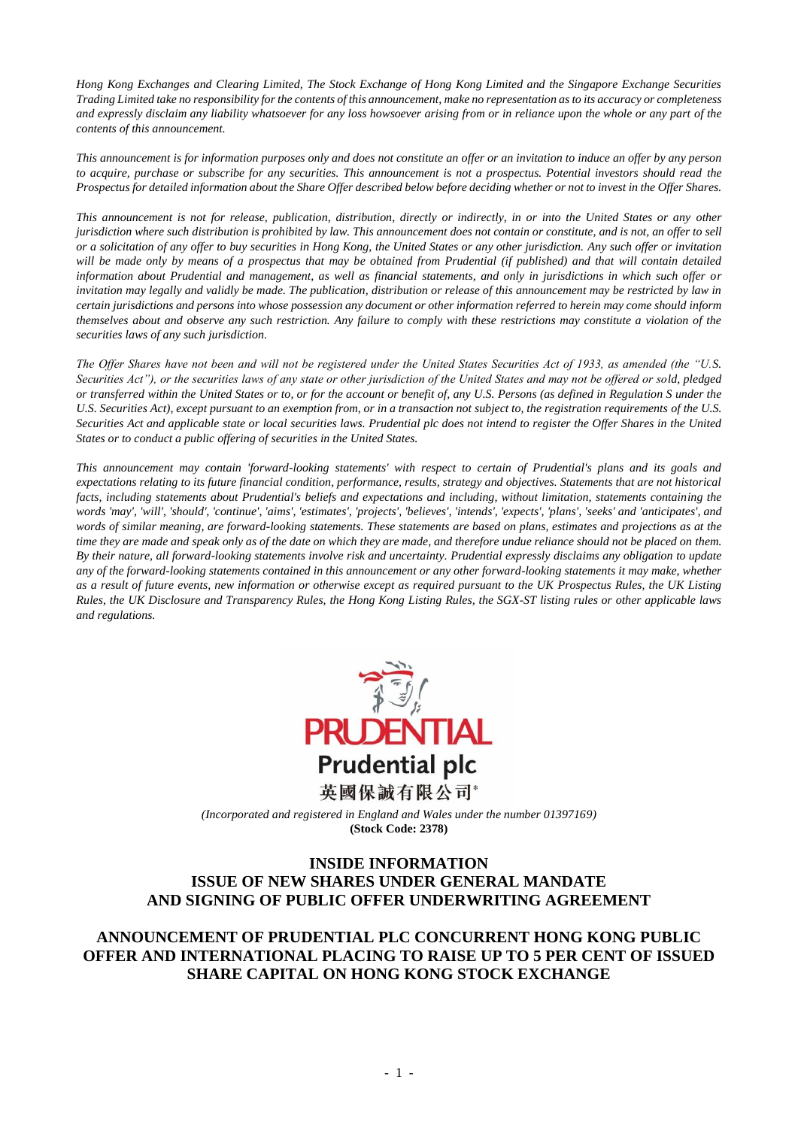*Hong Kong Exchanges and Clearing Limited, The Stock Exchange of Hong Kong Limited and the Singapore Exchange Securities Trading Limited take no responsibility for the contents of this announcement, make no representation as to its accuracy or completeness and expressly disclaim any liability whatsoever for any loss howsoever arising from or in reliance upon the whole or any part of the contents of this announcement.*

*This announcement is for information purposes only and does not constitute an offer or an invitation to induce an offer by any person to acquire, purchase or subscribe for any securities. This announcement is not a prospectus. Potential investors should read the Prospectus for detailed information about the Share Offer described below before deciding whether or not to invest in the Offer Shares.*

*This announcement is not for release, publication, distribution, directly or indirectly, in or into the United States or any other jurisdiction where such distribution is prohibited by law. This announcement does not contain or constitute, and is not, an offer to sell or a solicitation of any offer to buy securities in Hong Kong, the United States or any other jurisdiction. Any such offer or invitation will be made only by means of a prospectus that may be obtained from Prudential (if published) and that will contain detailed information about Prudential and management, as well as financial statements, and only in jurisdictions in which such offer or invitation may legally and validly be made. The publication, distribution or release of this announcement may be restricted by law in certain jurisdictions and persons into whose possession any document or other information referred to herein may come should inform themselves about and observe any such restriction. Any failure to comply with these restrictions may constitute a violation of the securities laws of any such jurisdiction.*

*The Offer Shares have not been and will not be registered under the United States Securities Act of 1933, as amended (the "U.S. Securities Act"), or the securities laws of any state or other jurisdiction of the United States and may not be offered or sold, pledged or transferred within the United States or to, or for the account or benefit of, any U.S. Persons (as defined in Regulation S under the U.S. Securities Act), except pursuant to an exemption from, or in a transaction not subject to, the registration requirements of the U.S. Securities Act and applicable state or local securities laws. Prudential plc does not intend to register the Offer Shares in the United States or to conduct a public offering of securities in the United States.*

*This announcement may contain 'forward-looking statements' with respect to certain of Prudential's plans and its goals and expectations relating to its future financial condition, performance, results, strategy and objectives. Statements that are not historical*  facts, including statements about Prudential's beliefs and expectations and including, without limitation, statements containing the *words 'may', 'will', 'should', 'continue', 'aims', 'estimates', 'projects', 'believes', 'intends', 'expects', 'plans', 'seeks' and 'anticipates', and words of similar meaning, are forward-looking statements. These statements are based on plans, estimates and projections as at the time they are made and speak only as of the date on which they are made, and therefore undue reliance should not be placed on them. By their nature, all forward-looking statements involve risk and uncertainty. Prudential expressly disclaims any obligation to update any of the forward-looking statements contained in this announcement or any other forward-looking statements it may make, whether as a result of future events, new information or otherwise except as required pursuant to the UK Prospectus Rules, the UK Listing Rules, the UK Disclosure and Transparency Rules, the Hong Kong Listing Rules, the SGX-ST listing rules or other applicable laws and regulations.*



*(Incorporated and registered in England and Wales under the number 01397169)* **(Stock Code: 2378)**

# **INSIDE INFORMATION ISSUE OF NEW SHARES UNDER GENERAL MANDATE AND SIGNING OF PUBLIC OFFER UNDERWRITING AGREEMENT**

## **ANNOUNCEMENT OF PRUDENTIAL PLC CONCURRENT HONG KONG PUBLIC OFFER AND INTERNATIONAL PLACING TO RAISE UP TO 5 PER CENT OF ISSUED SHARE CAPITAL ON HONG KONG STOCK EXCHANGE**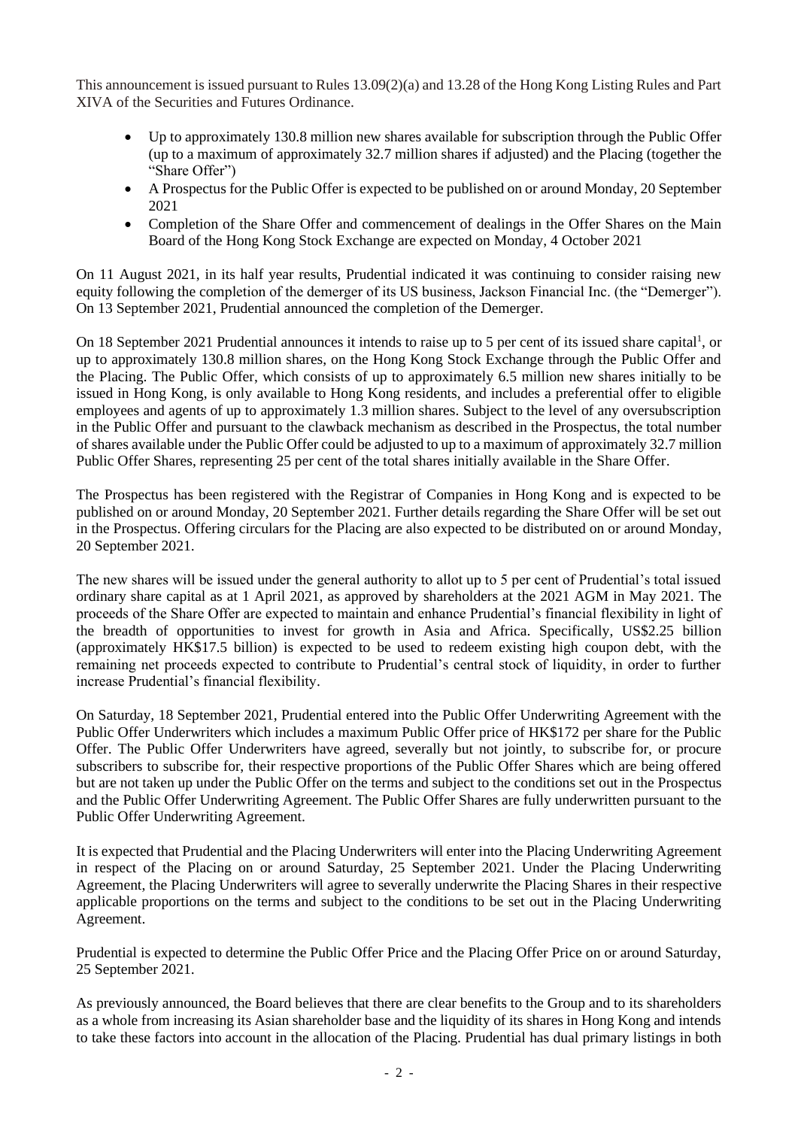This announcement is issued pursuant to Rules 13.09(2)(a) and 13.28 of the Hong Kong Listing Rules and Part XIVA of the Securities and Futures Ordinance.

- Up to approximately 130.8 million new shares available for subscription through the Public Offer (up to a maximum of approximately 32.7 million shares if adjusted) and the Placing (together the "Share Offer")
- A Prospectus for the Public Offer is expected to be published on or around Monday, 20 September 2021
- Completion of the Share Offer and commencement of dealings in the Offer Shares on the Main Board of the Hong Kong Stock Exchange are expected on Monday, 4 October 2021

On 11 August 2021, in its half year results, Prudential indicated it was continuing to consider raising new equity following the completion of the demerger of its US business, Jackson Financial Inc. (the "Demerger"). On 13 September 2021, Prudential announced the completion of the Demerger.

On 18 September 2021 Prudential announces it intends to raise up to 5 per cent of its issued share capital<sup>1</sup>, or up to approximately 130.8 million shares, on the Hong Kong Stock Exchange through the Public Offer and the Placing. The Public Offer, which consists of up to approximately 6.5 million new shares initially to be issued in Hong Kong, is only available to Hong Kong residents, and includes a preferential offer to eligible employees and agents of up to approximately 1.3 million shares. Subject to the level of any oversubscription in the Public Offer and pursuant to the clawback mechanism as described in the Prospectus, the total number of shares available under the Public Offer could be adjusted to up to a maximum of approximately 32.7 million Public Offer Shares, representing 25 per cent of the total shares initially available in the Share Offer.

The Prospectus has been registered with the Registrar of Companies in Hong Kong and is expected to be published on or around Monday, 20 September 2021. Further details regarding the Share Offer will be set out in the Prospectus. Offering circulars for the Placing are also expected to be distributed on or around Monday, 20 September 2021.

The new shares will be issued under the general authority to allot up to 5 per cent of Prudential's total issued ordinary share capital as at 1 April 2021, as approved by shareholders at the 2021 AGM in May 2021. The proceeds of the Share Offer are expected to maintain and enhance Prudential's financial flexibility in light of the breadth of opportunities to invest for growth in Asia and Africa. Specifically, US\$2.25 billion (approximately HK\$17.5 billion) is expected to be used to redeem existing high coupon debt, with the remaining net proceeds expected to contribute to Prudential's central stock of liquidity, in order to further increase Prudential's financial flexibility.

On Saturday, 18 September 2021, Prudential entered into the Public Offer Underwriting Agreement with the Public Offer Underwriters which includes a maximum Public Offer price of HK\$172 per share for the Public Offer. The Public Offer Underwriters have agreed, severally but not jointly, to subscribe for, or procure subscribers to subscribe for, their respective proportions of the Public Offer Shares which are being offered but are not taken up under the Public Offer on the terms and subject to the conditions set out in the Prospectus and the Public Offer Underwriting Agreement. The Public Offer Shares are fully underwritten pursuant to the Public Offer Underwriting Agreement.

It is expected that Prudential and the Placing Underwriters will enter into the Placing Underwriting Agreement in respect of the Placing on or around Saturday, 25 September 2021. Under the Placing Underwriting Agreement, the Placing Underwriters will agree to severally underwrite the Placing Shares in their respective applicable proportions on the terms and subject to the conditions to be set out in the Placing Underwriting Agreement.

Prudential is expected to determine the Public Offer Price and the Placing Offer Price on or around Saturday, 25 September 2021.

As previously announced, the Board believes that there are clear benefits to the Group and to its shareholders as a whole from increasing its Asian shareholder base and the liquidity of its shares in Hong Kong and intends to take these factors into account in the allocation of the Placing. Prudential has dual primary listings in both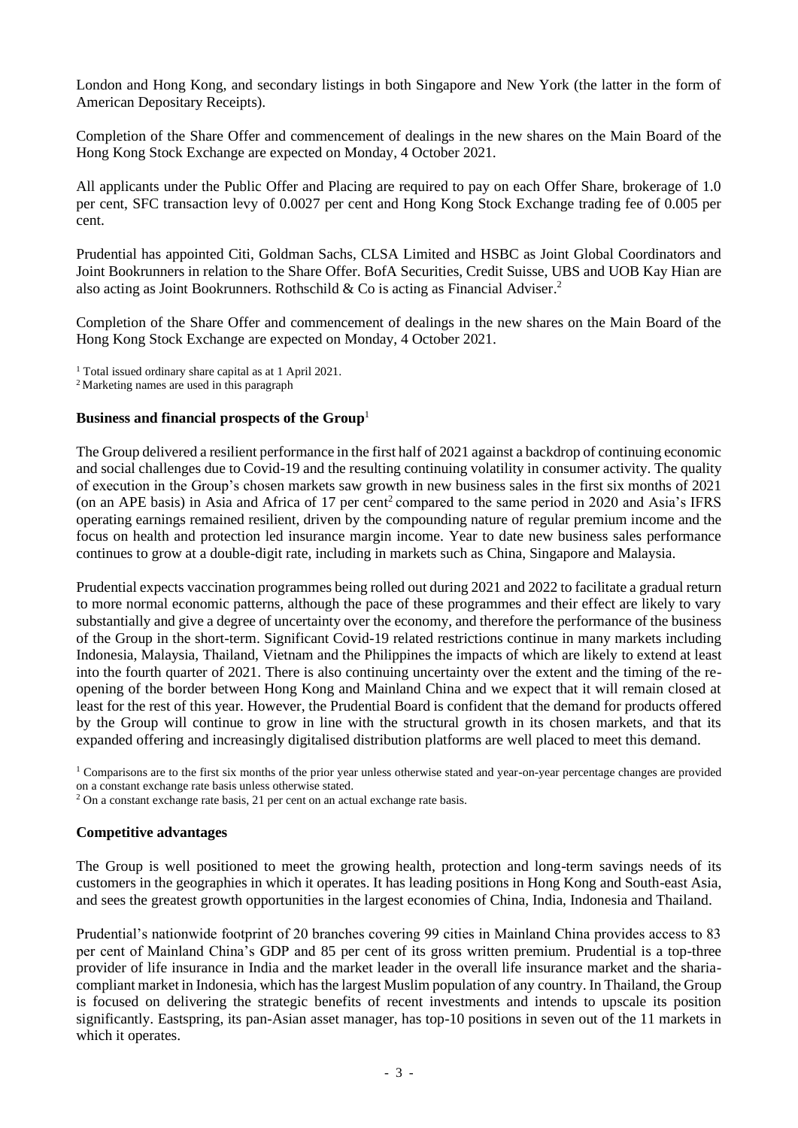London and Hong Kong, and secondary listings in both Singapore and New York (the latter in the form of American Depositary Receipts).

Completion of the Share Offer and commencement of dealings in the new shares on the Main Board of the Hong Kong Stock Exchange are expected on Monday, 4 October 2021.

All applicants under the Public Offer and Placing are required to pay on each Offer Share, brokerage of 1.0 per cent, SFC transaction levy of 0.0027 per cent and Hong Kong Stock Exchange trading fee of 0.005 per cent.

Prudential has appointed Citi, Goldman Sachs, CLSA Limited and HSBC as Joint Global Coordinators and Joint Bookrunners in relation to the Share Offer. BofA Securities, Credit Suisse, UBS and UOB Kay Hian are also acting as Joint Bookrunners. Rothschild & Co is acting as Financial Adviser. 2

Completion of the Share Offer and commencement of dealings in the new shares on the Main Board of the Hong Kong Stock Exchange are expected on Monday, 4 October 2021.

<sup>1</sup> Total issued ordinary share capital as at 1 April 2021.

<sup>2</sup> Marketing names are used in this paragraph

#### **Business and financial prospects of the Group** 1

The Group delivered a resilient performance in the first half of 2021 against a backdrop of continuing economic and social challenges due to Covid-19 and the resulting continuing volatility in consumer activity. The quality of execution in the Group's chosen markets saw growth in new business sales in the first six months of 2021 (on an APE basis) in Asia and Africa of 17 per cent 2 compared to the same period in 2020 and Asia's IFRS operating earnings remained resilient, driven by the compounding nature of regular premium income and the focus on health and protection led insurance margin income. Year to date new business sales performance continues to grow at a double-digit rate, including in markets such as China, Singapore and Malaysia.

Prudential expects vaccination programmes being rolled out during 2021 and 2022 to facilitate a gradual return to more normal economic patterns, although the pace of these programmes and their effect are likely to vary substantially and give a degree of uncertainty over the economy, and therefore the performance of the business of the Group in the short-term. Significant Covid-19 related restrictions continue in many markets including Indonesia, Malaysia, Thailand, Vietnam and the Philippines the impacts of which are likely to extend at least into the fourth quarter of 2021. There is also continuing uncertainty over the extent and the timing of the reopening of the border between Hong Kong and Mainland China and we expect that it will remain closed at least for the rest of this year. However, the Prudential Board is confident that the demand for products offered by the Group will continue to grow in line with the structural growth in its chosen markets, and that its expanded offering and increasingly digitalised distribution platforms are well placed to meet this demand.

 $1$  Comparisons are to the first six months of the prior year unless otherwise stated and year-on-year percentage changes are provided on a constant exchange rate basis unless otherwise stated.

<sup>2</sup> On a constant exchange rate basis, 21 per cent on an actual exchange rate basis.

#### **Competitive advantages**

The Group is well positioned to meet the growing health, protection and long-term savings needs of its customers in the geographies in which it operates. It has leading positions in Hong Kong and South-east Asia, and sees the greatest growth opportunities in the largest economies of China, India, Indonesia and Thailand.

Prudential's nationwide footprint of 20 branches covering 99 cities in Mainland China provides access to 83 per cent of Mainland China's GDP and 85 per cent of its gross written premium. Prudential is a top-three provider of life insurance in India and the market leader in the overall life insurance market and the shariacompliant market in Indonesia, which has the largest Muslim population of any country. In Thailand, the Group is focused on delivering the strategic benefits of recent investments and intends to upscale its position significantly. Eastspring, its pan-Asian asset manager, has top-10 positions in seven out of the 11 markets in which it operates.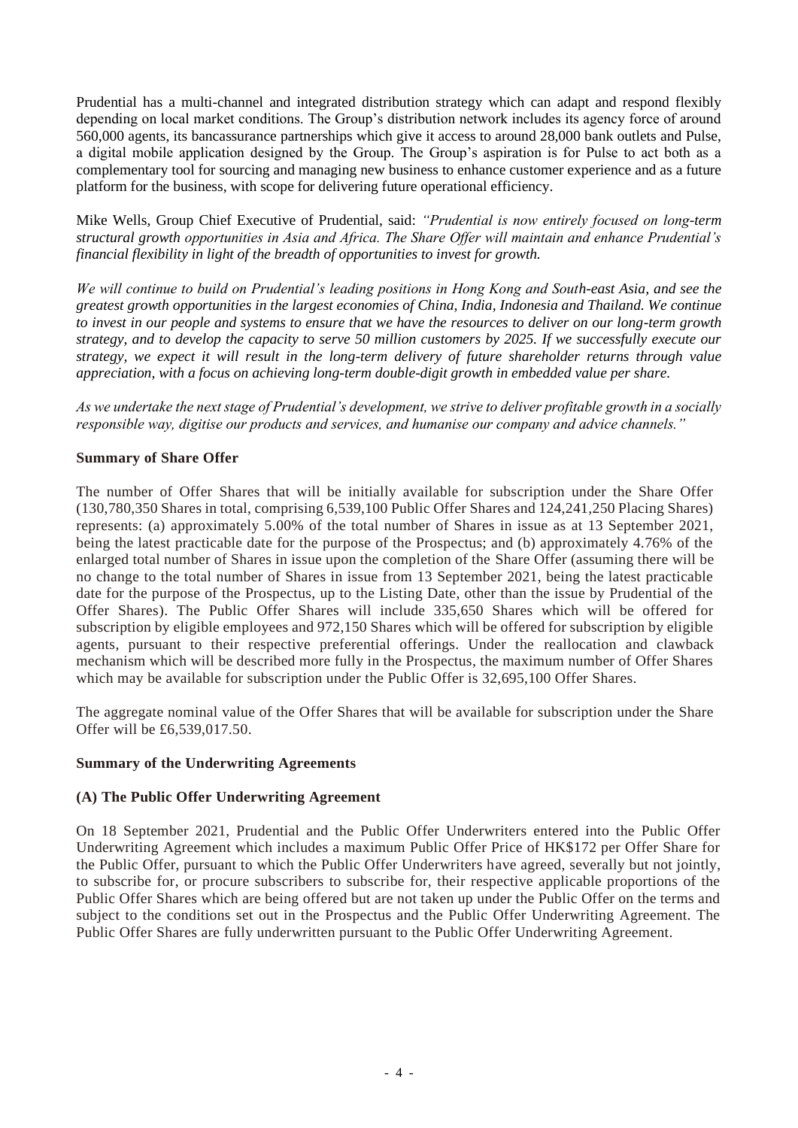Prudential has a multi-channel and integrated distribution strategy which can adapt and respond flexibly depending on local market conditions. The Group's distribution network includes its agency force of around 560,000 agents, its bancassurance partnerships which give it access to around 28,000 bank outlets and Pulse, a digital mobile application designed by the Group. The Group's aspiration is for Pulse to act both as a complementary tool for sourcing and managing new business to enhance customer experience and as a future platform for the business, with scope for delivering future operational efficiency.

Mike Wells, Group Chief Executive of Prudential, said: *"Prudential is now entirely focused on long-term structural growth opportunities in Asia and Africa. The Share Offer will maintain and enhance Prudential's financial flexibility in light of the breadth of opportunities to invest for growth.*

*We will continue to build on Prudential's leading positions in Hong Kong and South-east Asia, and see the greatest growth opportunities in the largest economies of China, India, Indonesia and Thailand. We continue to invest in our people and systems to ensure that we have the resources to deliver on our long-term growth strategy, and to develop the capacity to serve 50 million customers by 2025. If we successfully execute our strategy, we expect it will result in the long-term delivery of future shareholder returns through value appreciation, with a focus on achieving long-term double-digit growth in embedded value per share.* 

*As we undertake the next stage of Prudential's development, we strive to deliver profitable growth in a socially responsible way, digitise our products and services, and humanise our company and advice channels."*

## **Summary of Share Offer**

The number of Offer Shares that will be initially available for subscription under the Share Offer (130,780,350 Shares in total, comprising 6,539,100 Public Offer Shares and 124,241,250 Placing Shares) represents: (a) approximately 5.00% of the total number of Shares in issue as at 13 September 2021, being the latest practicable date for the purpose of the Prospectus; and (b) approximately 4.76% of the enlarged total number of Shares in issue upon the completion of the Share Offer (assuming there will be no change to the total number of Shares in issue from 13 September 2021, being the latest practicable date for the purpose of the Prospectus, up to the Listing Date, other than the issue by Prudential of the Offer Shares). The Public Offer Shares will include 335,650 Shares which will be offered for subscription by eligible employees and 972,150 Shares which will be offered for subscription by eligible agents, pursuant to their respective preferential offerings. Under the reallocation and clawback mechanism which will be described more fully in the Prospectus, the maximum number of Offer Shares which may be available for subscription under the Public Offer is 32,695,100 Offer Shares.

The aggregate nominal value of the Offer Shares that will be available for subscription under the Share Offer will be £6,539,017.50.

#### **Summary of the Underwriting Agreements**

#### **(A) The Public Offer Underwriting Agreement**

On 18 September 2021, Prudential and the Public Offer Underwriters entered into the Public Offer Underwriting Agreement which includes a maximum Public Offer Price of HK\$172 per Offer Share for the Public Offer, pursuant to which the Public Offer Underwriters have agreed, severally but not jointly, to subscribe for, or procure subscribers to subscribe for, their respective applicable proportions of the Public Offer Shares which are being offered but are not taken up under the Public Offer on the terms and subject to the conditions set out in the Prospectus and the Public Offer Underwriting Agreement. The Public Offer Shares are fully underwritten pursuant to the Public Offer Underwriting Agreement.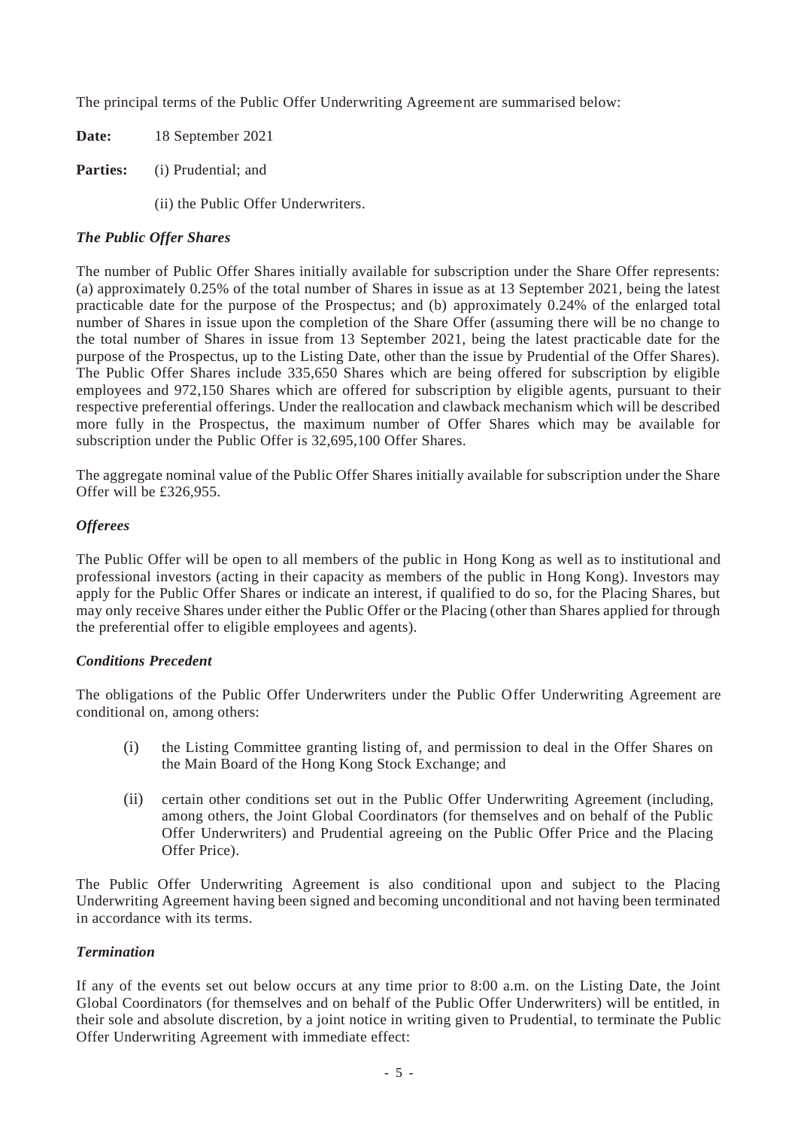The principal terms of the Public Offer Underwriting Agreement are summarised below:

**Date:** 18 September 2021

**Parties:** (i) Prudential; and

(ii) the Public Offer Underwriters.

## *The Public Offer Shares*

The number of Public Offer Shares initially available for subscription under the Share Offer represents: (a) approximately 0.25% of the total number of Shares in issue as at 13 September 2021, being the latest practicable date for the purpose of the Prospectus; and (b) approximately 0.24% of the enlarged total number of Shares in issue upon the completion of the Share Offer (assuming there will be no change to the total number of Shares in issue from 13 September 2021, being the latest practicable date for the purpose of the Prospectus, up to the Listing Date, other than the issue by Prudential of the Offer Shares). The Public Offer Shares include 335,650 Shares which are being offered for subscription by eligible employees and 972,150 Shares which are offered for subscription by eligible agents, pursuant to their respective preferential offerings. Under the reallocation and clawback mechanism which will be described more fully in the Prospectus, the maximum number of Offer Shares which may be available for subscription under the Public Offer is 32,695,100 Offer Shares.

The aggregate nominal value of the Public Offer Shares initially available for subscription under the Share Offer will be £326,955.

## *Offerees*

The Public Offer will be open to all members of the public in Hong Kong as well as to institutional and professional investors (acting in their capacity as members of the public in Hong Kong). Investors may apply for the Public Offer Shares or indicate an interest, if qualified to do so, for the Placing Shares, but may only receive Shares under either the Public Offer or the Placing (other than Shares applied for through the preferential offer to eligible employees and agents).

#### *Conditions Precedent*

The obligations of the Public Offer Underwriters under the Public Offer Underwriting Agreement are conditional on, among others:

- (i) the Listing Committee granting listing of, and permission to deal in the Offer Shares on the Main Board of the Hong Kong Stock Exchange; and
- (ii) certain other conditions set out in the Public Offer Underwriting Agreement (including, among others, the Joint Global Coordinators (for themselves and on behalf of the Public Offer Underwriters) and Prudential agreeing on the Public Offer Price and the Placing Offer Price).

The Public Offer Underwriting Agreement is also conditional upon and subject to the Placing Underwriting Agreement having been signed and becoming unconditional and not having been terminated in accordance with its terms.

#### *Termination*

If any of the events set out below occurs at any time prior to 8:00 a.m. on the Listing Date, the Joint Global Coordinators (for themselves and on behalf of the Public Offer Underwriters) will be entitled, in their sole and absolute discretion, by a joint notice in writing given to Prudential, to terminate the Public Offer Underwriting Agreement with immediate effect: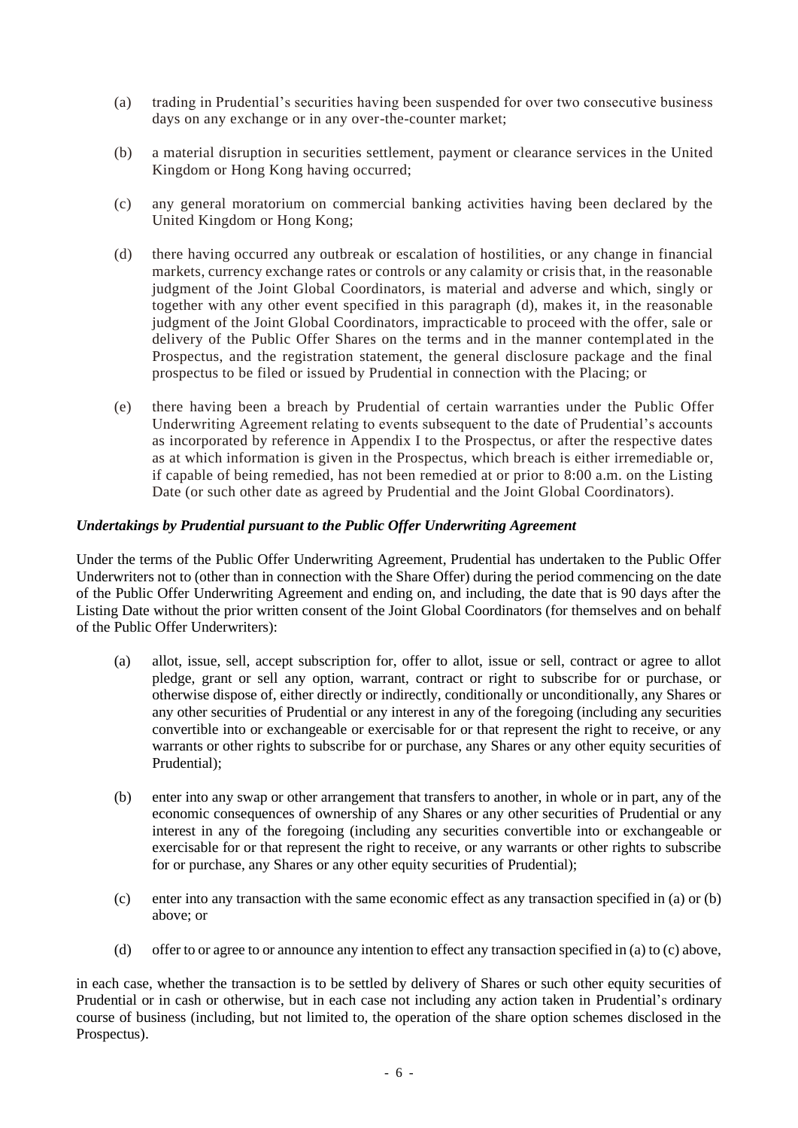- (a) trading in Prudential's securities having been suspended for over two consecutive business days on any exchange or in any over-the-counter market;
- (b) a material disruption in securities settlement, payment or clearance services in the United Kingdom or Hong Kong having occurred;
- (c) any general moratorium on commercial banking activities having been declared by the United Kingdom or Hong Kong;
- (d) there having occurred any outbreak or escalation of hostilities, or any change in financial markets, currency exchange rates or controls or any calamity or crisis that, in the reasonable judgment of the Joint Global Coordinators, is material and adverse and which, singly or together with any other event specified in this paragraph (d), makes it, in the reasonable judgment of the Joint Global Coordinators, impracticable to proceed with the offer, sale or delivery of the Public Offer Shares on the terms and in the manner contemplated in the Prospectus, and the registration statement, the general disclosure package and the final prospectus to be filed or issued by Prudential in connection with the Placing; or
- (e) there having been a breach by Prudential of certain warranties under the Public Offer Underwriting Agreement relating to events subsequent to the date of Prudential's accounts as incorporated by reference in Appendix I to the Prospectus, or after the respective dates as at which information is given in the Prospectus, which breach is either irremediable or, if capable of being remedied, has not been remedied at or prior to 8:00 a.m. on the Listing Date (or such other date as agreed by Prudential and the Joint Global Coordinators).

## *Undertakings by Prudential pursuant to the Public Offer Underwriting Agreement*

Under the terms of the Public Offer Underwriting Agreement, Prudential has undertaken to the Public Offer Underwriters not to (other than in connection with the Share Offer) during the period commencing on the date of the Public Offer Underwriting Agreement and ending on, and including, the date that is 90 days after the Listing Date without the prior written consent of the Joint Global Coordinators (for themselves and on behalf of the Public Offer Underwriters):

- (a) allot, issue, sell, accept subscription for, offer to allot, issue or sell, contract or agree to allot pledge, grant or sell any option, warrant, contract or right to subscribe for or purchase, or otherwise dispose of, either directly or indirectly, conditionally or unconditionally, any Shares or any other securities of Prudential or any interest in any of the foregoing (including any securities convertible into or exchangeable or exercisable for or that represent the right to receive, or any warrants or other rights to subscribe for or purchase, any Shares or any other equity securities of Prudential);
- (b) enter into any swap or other arrangement that transfers to another, in whole or in part, any of the economic consequences of ownership of any Shares or any other securities of Prudential or any interest in any of the foregoing (including any securities convertible into or exchangeable or exercisable for or that represent the right to receive, or any warrants or other rights to subscribe for or purchase, any Shares or any other equity securities of Prudential);
- (c) enter into any transaction with the same economic effect as any transaction specified in (a) or (b) above; or
- (d) offer to or agree to or announce any intention to effect any transaction specified in (a) to (c) above,

in each case, whether the transaction is to be settled by delivery of Shares or such other equity securities of Prudential or in cash or otherwise, but in each case not including any action taken in Prudential's ordinary course of business (including, but not limited to, the operation of the share option schemes disclosed in the Prospectus).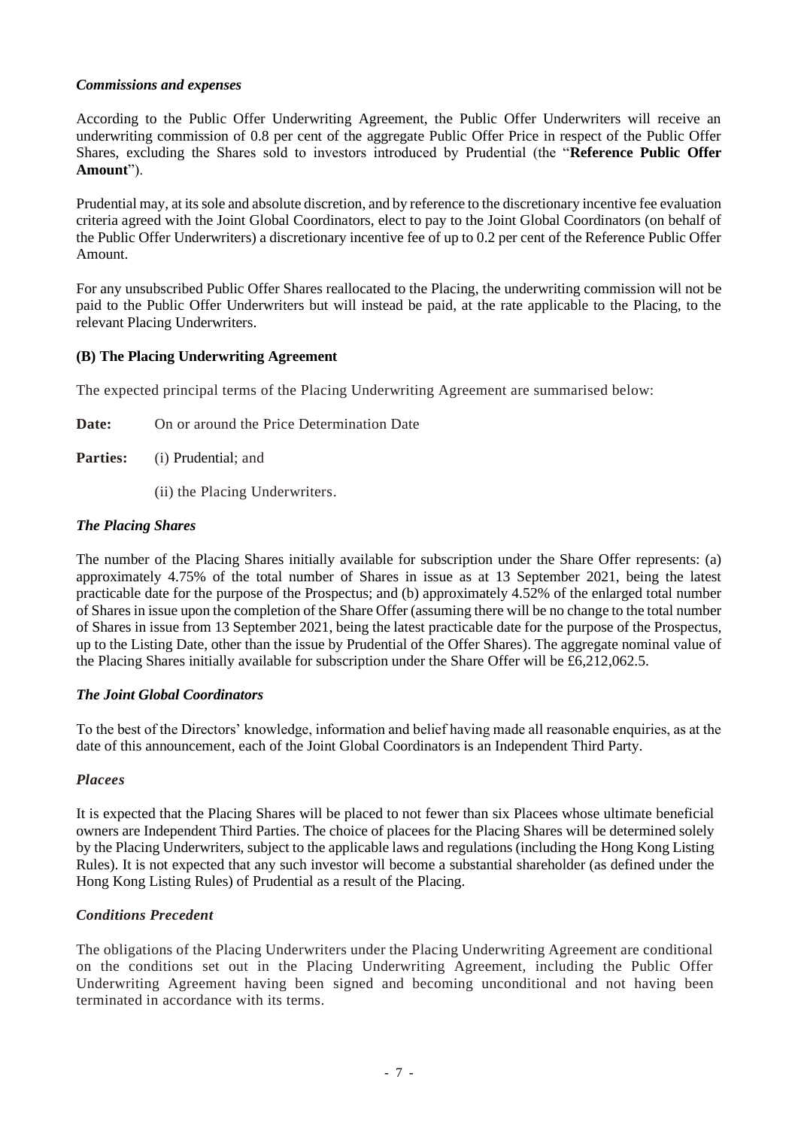## *Commissions and expenses*

According to the Public Offer Underwriting Agreement, the Public Offer Underwriters will receive an underwriting commission of 0.8 per cent of the aggregate Public Offer Price in respect of the Public Offer Shares, excluding the Shares sold to investors introduced by Prudential (the "**Reference Public Offer Amount**").

Prudential may, at its sole and absolute discretion, and by reference to the discretionary incentive fee evaluation criteria agreed with the Joint Global Coordinators, elect to pay to the Joint Global Coordinators (on behalf of the Public Offer Underwriters) a discretionary incentive fee of up to 0.2 per cent of the Reference Public Offer Amount.

For any unsubscribed Public Offer Shares reallocated to the Placing, the underwriting commission will not be paid to the Public Offer Underwriters but will instead be paid, at the rate applicable to the Placing, to the relevant Placing Underwriters.

## **(B) The Placing Underwriting Agreement**

The expected principal terms of the Placing Underwriting Agreement are summarised below:

- **Date:** On or around the Price Determination Date
- **Parties:** (i) Prudential; and
	- (ii) the Placing Underwriters.

## *The Placing Shares*

The number of the Placing Shares initially available for subscription under the Share Offer represents: (a) approximately 4.75% of the total number of Shares in issue as at 13 September 2021, being the latest practicable date for the purpose of the Prospectus; and (b) approximately 4.52% of the enlarged total number of Shares in issue upon the completion of the Share Offer (assuming there will be no change to the total number of Shares in issue from 13 September 2021, being the latest practicable date for the purpose of the Prospectus, up to the Listing Date, other than the issue by Prudential of the Offer Shares). The aggregate nominal value of the Placing Shares initially available for subscription under the Share Offer will be £6,212,062.5.

#### *The Joint Global Coordinators*

To the best of the Directors' knowledge, information and belief having made all reasonable enquiries, as at the date of this announcement, each of the Joint Global Coordinators is an Independent Third Party.

#### *Placees*

It is expected that the Placing Shares will be placed to not fewer than six Placees whose ultimate beneficial owners are Independent Third Parties. The choice of placees for the Placing Shares will be determined solely by the Placing Underwriters, subject to the applicable laws and regulations (including the Hong Kong Listing Rules). It is not expected that any such investor will become a substantial shareholder (as defined under the Hong Kong Listing Rules) of Prudential as a result of the Placing.

## *Conditions Precedent*

The obligations of the Placing Underwriters under the Placing Underwriting Agreement are conditional on the conditions set out in the Placing Underwriting Agreement, including the Public Offer Underwriting Agreement having been signed and becoming unconditional and not having been terminated in accordance with its terms.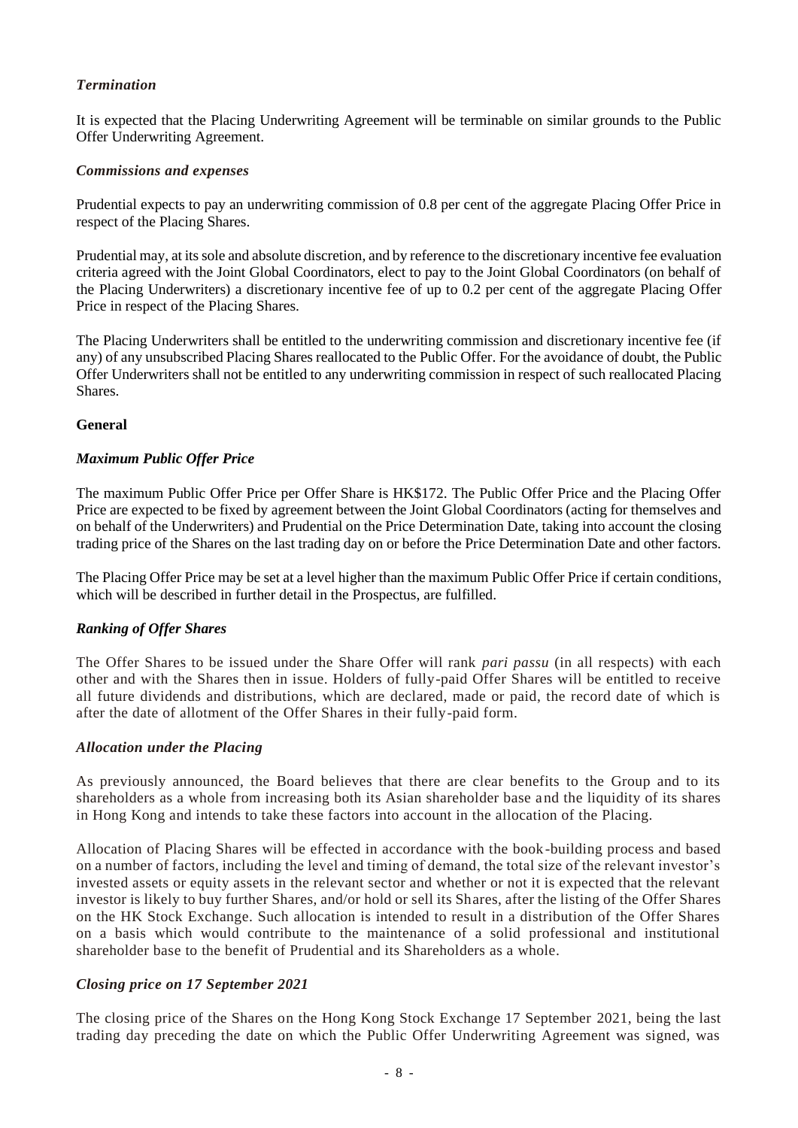## *Termination*

It is expected that the Placing Underwriting Agreement will be terminable on similar grounds to the Public Offer Underwriting Agreement.

#### *Commissions and expenses*

Prudential expects to pay an underwriting commission of 0.8 per cent of the aggregate Placing Offer Price in respect of the Placing Shares.

Prudential may, at its sole and absolute discretion, and by reference to the discretionary incentive fee evaluation criteria agreed with the Joint Global Coordinators, elect to pay to the Joint Global Coordinators (on behalf of the Placing Underwriters) a discretionary incentive fee of up to 0.2 per cent of the aggregate Placing Offer Price in respect of the Placing Shares.

The Placing Underwriters shall be entitled to the underwriting commission and discretionary incentive fee (if any) of any unsubscribed Placing Shares reallocated to the Public Offer. For the avoidance of doubt, the Public Offer Underwriters shall not be entitled to any underwriting commission in respect of such reallocated Placing Shares.

#### **General**

#### *Maximum Public Offer Price*

The maximum Public Offer Price per Offer Share is HK\$172. The Public Offer Price and the Placing Offer Price are expected to be fixed by agreement between the Joint Global Coordinators (acting for themselves and on behalf of the Underwriters) and Prudential on the Price Determination Date, taking into account the closing trading price of the Shares on the last trading day on or before the Price Determination Date and other factors.

The Placing Offer Price may be set at a level higher than the maximum Public Offer Price if certain conditions, which will be described in further detail in the Prospectus, are fulfilled.

#### *Ranking of Offer Shares*

The Offer Shares to be issued under the Share Offer will rank *pari passu* (in all respects) with each other and with the Shares then in issue. Holders of fully-paid Offer Shares will be entitled to receive all future dividends and distributions, which are declared, made or paid, the record date of which is after the date of allotment of the Offer Shares in their fully-paid form.

#### *Allocation under the Placing*

As previously announced, the Board believes that there are clear benefits to the Group and to its shareholders as a whole from increasing both its Asian shareholder base and the liquidity of its shares in Hong Kong and intends to take these factors into account in the allocation of the Placing.

Allocation of Placing Shares will be effected in accordance with the book-building process and based on a number of factors, including the level and timing of demand, the total size of the relevant investor's invested assets or equity assets in the relevant sector and whether or not it is expected that the relevant investor is likely to buy further Shares, and/or hold or sell its Shares, after the listing of the Offer Shares on the HK Stock Exchange. Such allocation is intended to result in a distribution of the Offer Shares on a basis which would contribute to the maintenance of a solid professional and institutional shareholder base to the benefit of Prudential and its Shareholders as a whole.

#### *Closing price on 17 September 2021*

The closing price of the Shares on the Hong Kong Stock Exchange 17 September 2021, being the last trading day preceding the date on which the Public Offer Underwriting Agreement was signed, was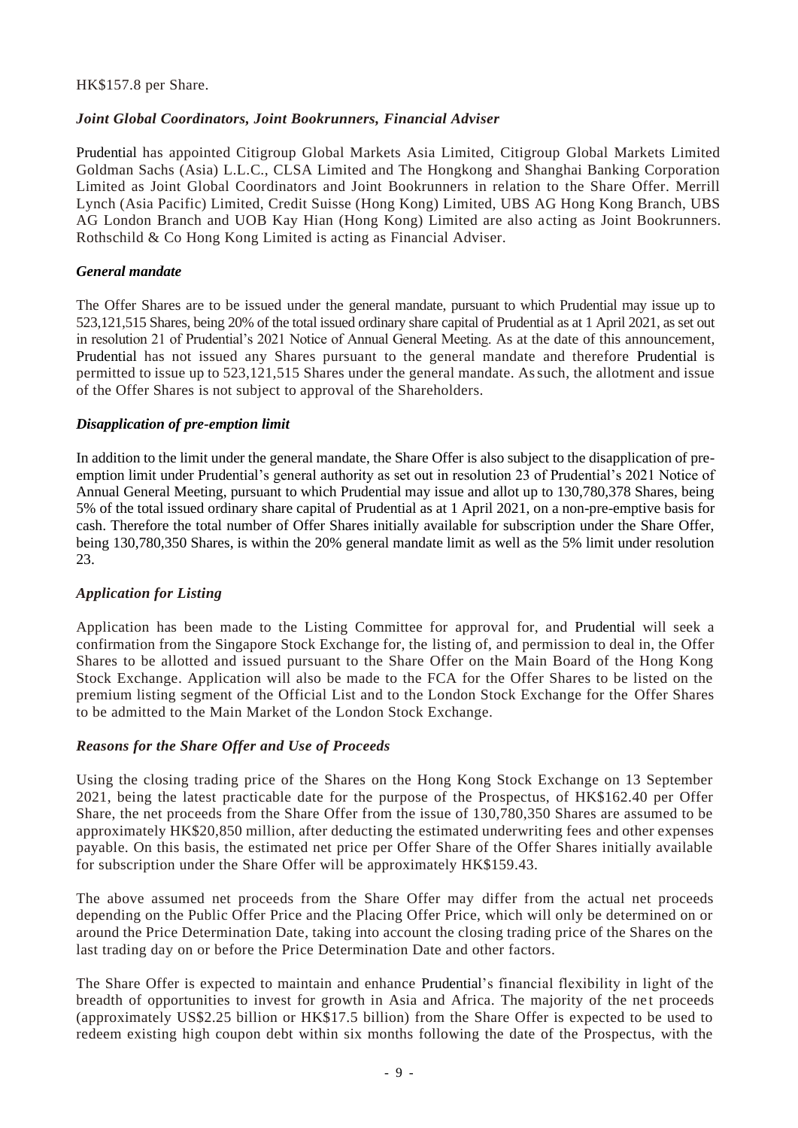#### HK\$157.8 per Share.

## *Joint Global Coordinators, Joint Bookrunners, Financial Adviser*

Prudential has appointed Citigroup Global Markets Asia Limited, Citigroup Global Markets Limited Goldman Sachs (Asia) L.L.C., CLSA Limited and The Hongkong and Shanghai Banking Corporation Limited as Joint Global Coordinators and Joint Bookrunners in relation to the Share Offer. Merrill Lynch (Asia Pacific) Limited, Credit Suisse (Hong Kong) Limited, UBS AG Hong Kong Branch, UBS AG London Branch and UOB Kay Hian (Hong Kong) Limited are also acting as Joint Bookrunners. Rothschild & Co Hong Kong Limited is acting as Financial Adviser.

## *General mandate*

The Offer Shares are to be issued under the general mandate, pursuant to which Prudential may issue up to 523,121,515 Shares, being 20% of the total issued ordinary share capital of Prudential as at 1 April 2021, as set out in resolution 21 of Prudential's 2021 Notice of Annual General Meeting. As at the date of this announcement, Prudential has not issued any Shares pursuant to the general mandate and therefore Prudential is permitted to issue up to 523,121,515 Shares under the general mandate. Assuch, the allotment and issue of the Offer Shares is not subject to approval of the Shareholders.

## *Disapplication of pre-emption limit*

In addition to the limit under the general mandate, the Share Offer is also subject to the disapplication of preemption limit under Prudential's general authority as set out in resolution 23 of Prudential's 2021 Notice of Annual General Meeting, pursuant to which Prudential may issue and allot up to 130,780,378 Shares, being 5% of the total issued ordinary share capital of Prudential as at 1 April 2021, on a non-pre-emptive basis for cash. Therefore the total number of Offer Shares initially available for subscription under the Share Offer, being 130,780,350 Shares, is within the 20% general mandate limit as well as the 5% limit under resolution 23.

## *Application for Listing*

Application has been made to the Listing Committee for approval for, and Prudential will seek a confirmation from the Singapore Stock Exchange for, the listing of, and permission to deal in, the Offer Shares to be allotted and issued pursuant to the Share Offer on the Main Board of the Hong Kong Stock Exchange. Application will also be made to the FCA for the Offer Shares to be listed on the premium listing segment of the Official List and to the London Stock Exchange for the Offer Shares to be admitted to the Main Market of the London Stock Exchange.

#### *Reasons for the Share Offer and Use of Proceeds*

Using the closing trading price of the Shares on the Hong Kong Stock Exchange on 13 September 2021, being the latest practicable date for the purpose of the Prospectus, of HK\$162.40 per Offer Share, the net proceeds from the Share Offer from the issue of 130,780,350 Shares are assumed to be approximately HK\$20,850 million, after deducting the estimated underwriting fees and other expenses payable. On this basis, the estimated net price per Offer Share of the Offer Shares initially available for subscription under the Share Offer will be approximately HK\$159.43.

The above assumed net proceeds from the Share Offer may differ from the actual net proceeds depending on the Public Offer Price and the Placing Offer Price, which will only be determined on or around the Price Determination Date, taking into account the closing trading price of the Shares on the last trading day on or before the Price Determination Date and other factors.

The Share Offer is expected to maintain and enhance Prudential's financial flexibility in light of the breadth of opportunities to invest for growth in Asia and Africa. The majority of the net proceeds (approximately US\$2.25 billion or HK\$17.5 billion) from the Share Offer is expected to be used to redeem existing high coupon debt within six months following the date of the Prospectus, with the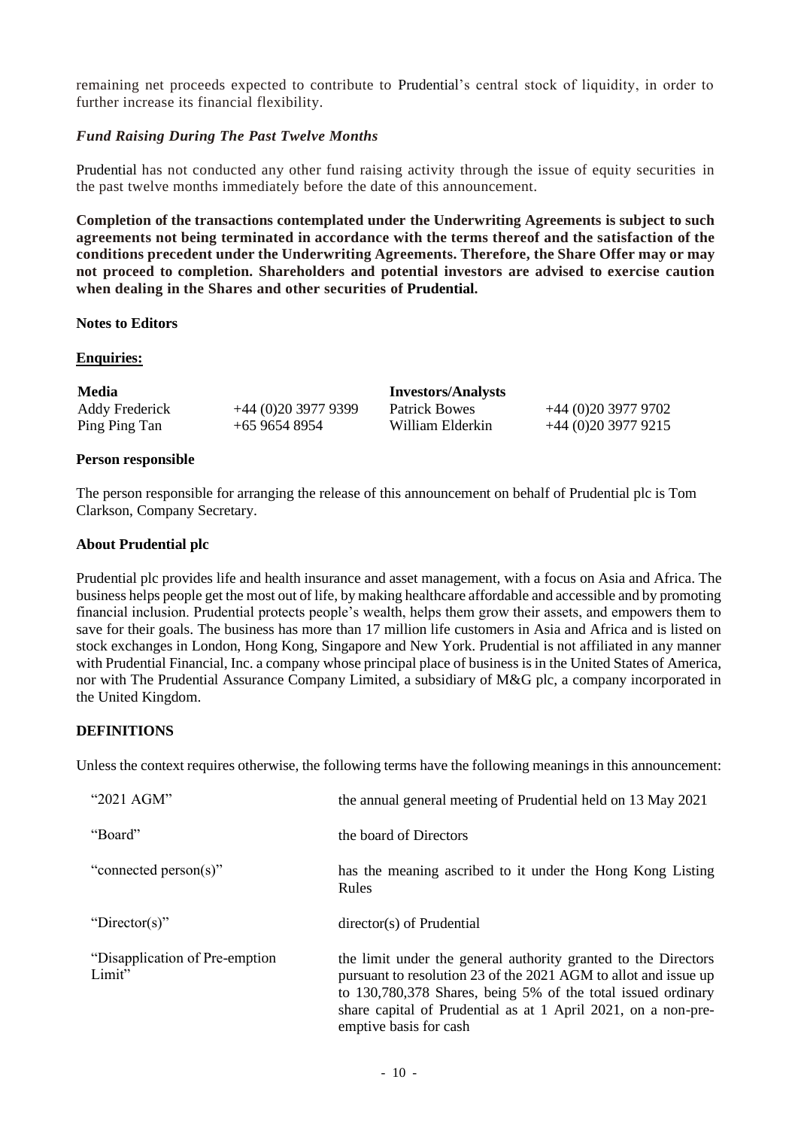remaining net proceeds expected to contribute to Prudential's central stock of liquidity, in order to further increase its financial flexibility.

## *Fund Raising During The Past Twelve Months*

Prudential has not conducted any other fund raising activity through the issue of equity securities in the past twelve months immediately before the date of this announcement.

**Completion of the transactions contemplated under the Underwriting Agreements is subject to such agreements not being terminated in accordance with the terms thereof and the satisfaction of the conditions precedent under the Underwriting Agreements. Therefore, the Share Offer may or may not proceed to completion. Shareholders and potential investors are advised to exercise caution when dealing in the Shares and other securities of Prudential.**

#### **Notes to Editors**

## **Enquiries:**

| <b>Media</b>          |                    | <b>Investors/Analysts</b> |                    |
|-----------------------|--------------------|---------------------------|--------------------|
| <b>Addy Frederick</b> | $+44(0)2039779399$ | <b>Patrick Bowes</b>      | $+44(0)2039779702$ |
| Ping Ping Tan         | +65 9654 8954      | William Elderkin          | $+44(0)2039779215$ |

## **Person responsible**

The person responsible for arranging the release of this announcement on behalf of Prudential plc is Tom Clarkson, Company Secretary.

#### **About Prudential plc**

Prudential plc provides life and health insurance and asset management, with a focus on Asia and Africa. The business helps people get the most out of life, by making healthcare affordable and accessible and by promoting financial inclusion. Prudential protects people's wealth, helps them grow their assets, and empowers them to save for their goals. The business has more than 17 million life customers in Asia and Africa and is listed on stock exchanges in London, Hong Kong, Singapore and New York. Prudential is not affiliated in any manner with Prudential Financial, Inc. a company whose principal place of business is in the United States of America, nor with The Prudential Assurance Company Limited, a subsidiary of M&G plc, a company incorporated in the United Kingdom.

#### **DEFINITIONS**

Unless the context requires otherwise, the following terms have the following meanings in this announcement:

| "2021 AGM"                                | the annual general meeting of Prudential held on 13 May 2021                                                                                                                                                                                                                                 |
|-------------------------------------------|----------------------------------------------------------------------------------------------------------------------------------------------------------------------------------------------------------------------------------------------------------------------------------------------|
| "Board"                                   | the board of Directors                                                                                                                                                                                                                                                                       |
| "connected person(s)"                     | has the meaning ascribed to it under the Hong Kong Listing<br>Rules                                                                                                                                                                                                                          |
| "Director(s)"                             | director(s) of Prudential                                                                                                                                                                                                                                                                    |
| "Disapplication of Pre-emption"<br>Limit" | the limit under the general authority granted to the Directors<br>pursuant to resolution 23 of the 2021 AGM to allot and issue up<br>to 130,780,378 Shares, being 5% of the total issued ordinary<br>share capital of Prudential as at 1 April 2021, on a non-pre-<br>emptive basis for cash |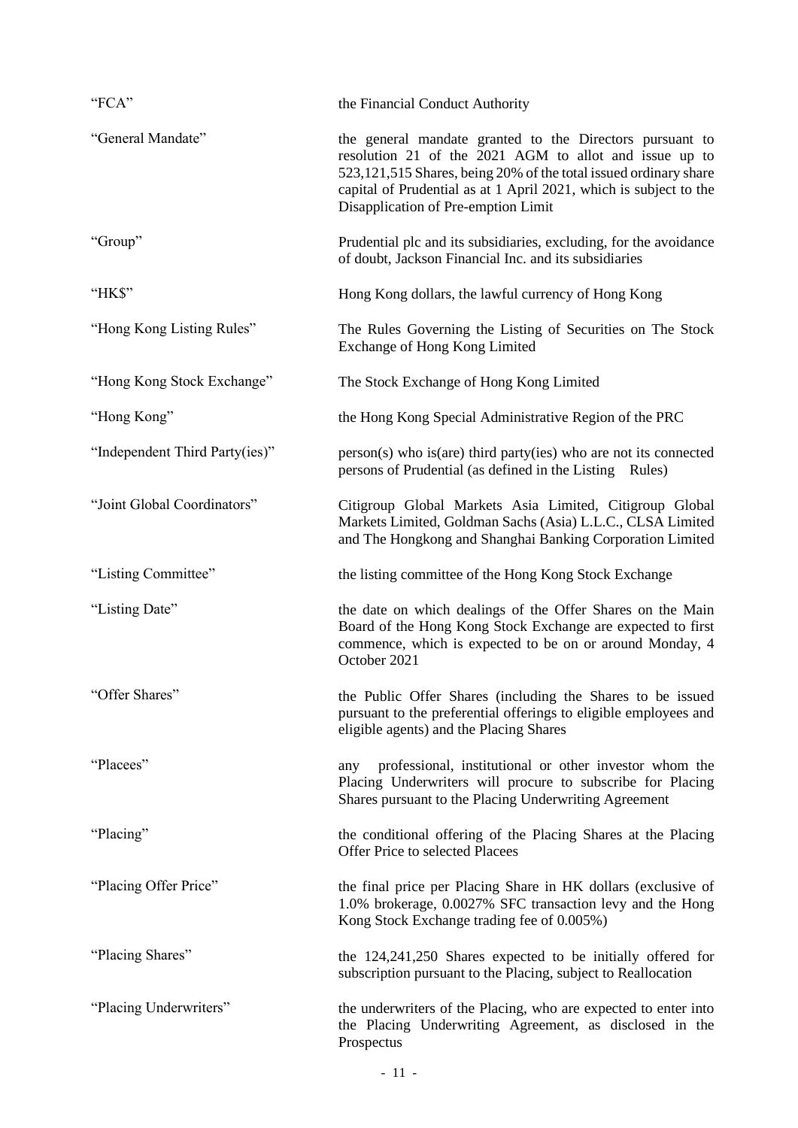| "FCA"                          | the Financial Conduct Authority                                                                                                                                                                                                                                                                    |
|--------------------------------|----------------------------------------------------------------------------------------------------------------------------------------------------------------------------------------------------------------------------------------------------------------------------------------------------|
| "General Mandate"              | the general mandate granted to the Directors pursuant to<br>resolution 21 of the 2021 AGM to allot and issue up to<br>523,121,515 Shares, being 20% of the total issued ordinary share<br>capital of Prudential as at 1 April 2021, which is subject to the<br>Disapplication of Pre-emption Limit |
| "Group"                        | Prudential plc and its subsidiaries, excluding, for the avoidance<br>of doubt, Jackson Financial Inc. and its subsidiaries                                                                                                                                                                         |
| "HK\$"                         | Hong Kong dollars, the lawful currency of Hong Kong                                                                                                                                                                                                                                                |
| "Hong Kong Listing Rules"      | The Rules Governing the Listing of Securities on The Stock<br>Exchange of Hong Kong Limited                                                                                                                                                                                                        |
| "Hong Kong Stock Exchange"     | The Stock Exchange of Hong Kong Limited                                                                                                                                                                                                                                                            |
| "Hong Kong"                    | the Hong Kong Special Administrative Region of the PRC                                                                                                                                                                                                                                             |
| "Independent Third Party(ies)" | person(s) who is (are) third party (ies) who are not its connected<br>persons of Prudential (as defined in the Listing Rules)                                                                                                                                                                      |
| "Joint Global Coordinators"    | Citigroup Global Markets Asia Limited, Citigroup Global<br>Markets Limited, Goldman Sachs (Asia) L.L.C., CLSA Limited<br>and The Hongkong and Shanghai Banking Corporation Limited                                                                                                                 |
| "Listing Committee"            | the listing committee of the Hong Kong Stock Exchange                                                                                                                                                                                                                                              |
| "Listing Date"                 | the date on which dealings of the Offer Shares on the Main<br>Board of the Hong Kong Stock Exchange are expected to first<br>commence, which is expected to be on or around Monday, 4<br>October 2021                                                                                              |
| "Offer Shares"                 | the Public Offer Shares (including the Shares to be issued<br>pursuant to the preferential offerings to eligible employees and<br>eligible agents) and the Placing Shares                                                                                                                          |
| "Placees"                      | professional, institutional or other investor whom the<br>any<br>Placing Underwriters will procure to subscribe for Placing<br>Shares pursuant to the Placing Underwriting Agreement                                                                                                               |
| "Placing"                      | the conditional offering of the Placing Shares at the Placing<br>Offer Price to selected Placees                                                                                                                                                                                                   |
| "Placing Offer Price"          | the final price per Placing Share in HK dollars (exclusive of<br>1.0% brokerage, 0.0027% SFC transaction levy and the Hong<br>Kong Stock Exchange trading fee of 0.005%)                                                                                                                           |
| "Placing Shares"               | the 124,241,250 Shares expected to be initially offered for<br>subscription pursuant to the Placing, subject to Reallocation                                                                                                                                                                       |
| "Placing Underwriters"         | the underwriters of the Placing, who are expected to enter into<br>the Placing Underwriting Agreement, as disclosed in the<br>Prospectus                                                                                                                                                           |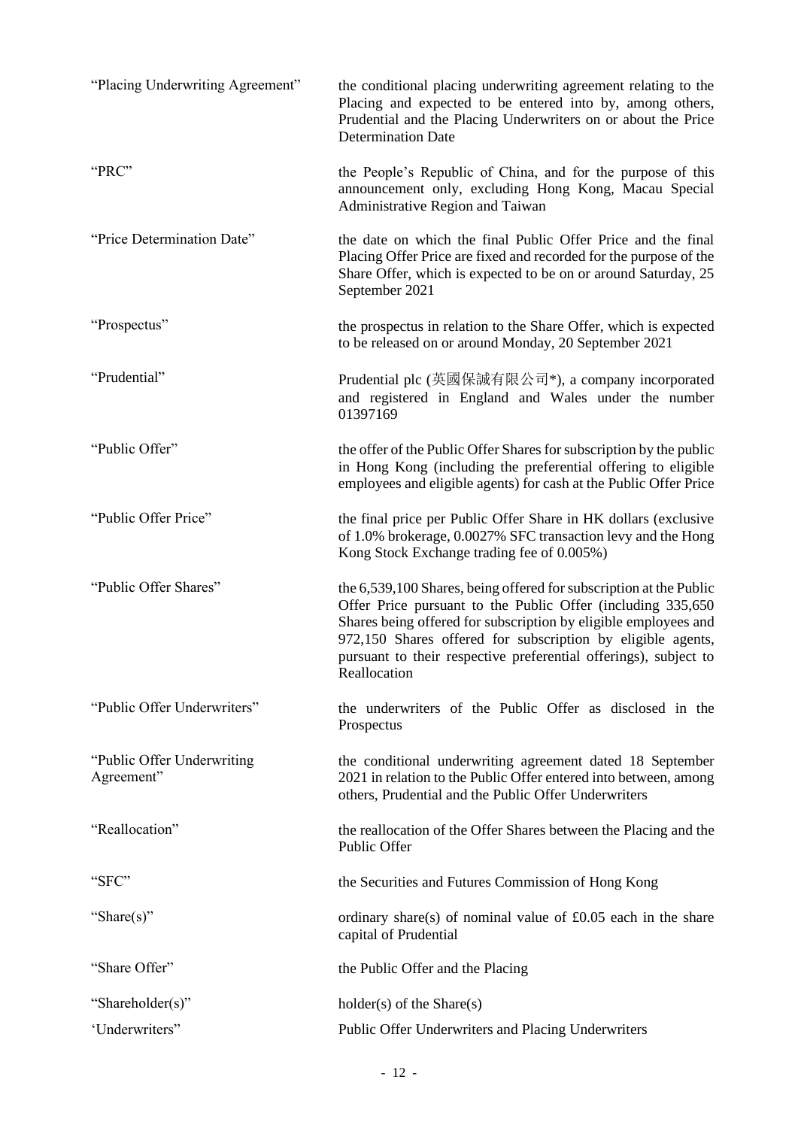| "Placing Underwriting Agreement"         | the conditional placing underwriting agreement relating to the<br>Placing and expected to be entered into by, among others,<br>Prudential and the Placing Underwriters on or about the Price<br><b>Determination Date</b>                                                                                                                                |
|------------------------------------------|----------------------------------------------------------------------------------------------------------------------------------------------------------------------------------------------------------------------------------------------------------------------------------------------------------------------------------------------------------|
| "PRC"                                    | the People's Republic of China, and for the purpose of this<br>announcement only, excluding Hong Kong, Macau Special<br>Administrative Region and Taiwan                                                                                                                                                                                                 |
| "Price Determination Date"               | the date on which the final Public Offer Price and the final<br>Placing Offer Price are fixed and recorded for the purpose of the<br>Share Offer, which is expected to be on or around Saturday, 25<br>September 2021                                                                                                                                    |
| "Prospectus"                             | the prospectus in relation to the Share Offer, which is expected<br>to be released on or around Monday, 20 September 2021                                                                                                                                                                                                                                |
| "Prudential"                             | Prudential plc (英國保誠有限公司*), a company incorporated<br>and registered in England and Wales under the number<br>01397169                                                                                                                                                                                                                                   |
| "Public Offer"                           | the offer of the Public Offer Shares for subscription by the public<br>in Hong Kong (including the preferential offering to eligible<br>employees and eligible agents) for cash at the Public Offer Price                                                                                                                                                |
| "Public Offer Price"                     | the final price per Public Offer Share in HK dollars (exclusive<br>of 1.0% brokerage, 0.0027% SFC transaction levy and the Hong<br>Kong Stock Exchange trading fee of 0.005%)                                                                                                                                                                            |
| "Public Offer Shares"                    | the 6,539,100 Shares, being offered for subscription at the Public<br>Offer Price pursuant to the Public Offer (including 335,650)<br>Shares being offered for subscription by eligible employees and<br>972,150 Shares offered for subscription by eligible agents,<br>pursuant to their respective preferential offerings), subject to<br>Reallocation |
| "Public Offer Underwriters"              | the underwriters of the Public Offer as disclosed in the<br>Prospectus                                                                                                                                                                                                                                                                                   |
| "Public Offer Underwriting<br>Agreement" | the conditional underwriting agreement dated 18 September<br>2021 in relation to the Public Offer entered into between, among<br>others, Prudential and the Public Offer Underwriters                                                                                                                                                                    |
| "Reallocation"                           | the reallocation of the Offer Shares between the Placing and the<br>Public Offer                                                                                                                                                                                                                                                                         |
| "SFC"                                    | the Securities and Futures Commission of Hong Kong                                                                                                                                                                                                                                                                                                       |
| "Share(s)"                               | ordinary share(s) of nominal value of $£0.05$ each in the share<br>capital of Prudential                                                                                                                                                                                                                                                                 |
| "Share Offer"                            | the Public Offer and the Placing                                                                                                                                                                                                                                                                                                                         |
| "Shareholder(s)"                         | $holder(s)$ of the Share $(s)$                                                                                                                                                                                                                                                                                                                           |
| 'Underwriters"                           | Public Offer Underwriters and Placing Underwriters                                                                                                                                                                                                                                                                                                       |